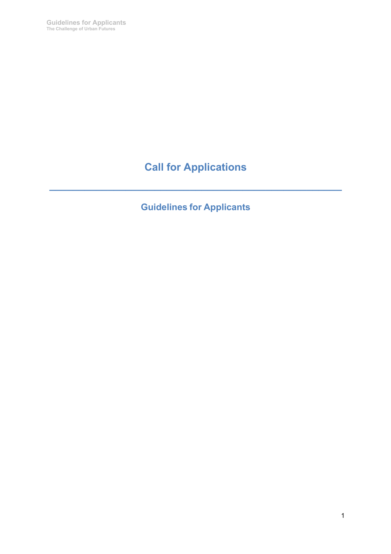**Guidelines for Applicants The Challenge of Urban Futures**

# **Call for Applications**

**\_\_\_\_\_\_\_\_\_\_\_\_\_\_\_\_\_\_\_\_\_\_\_\_\_\_\_\_\_\_\_\_\_\_\_\_\_\_\_\_\_\_\_\_\_\_\_\_\_\_**

**Guidelines for Applicants**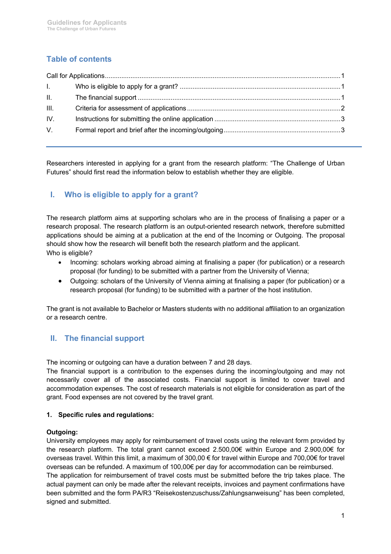# **Table of contents**

| Letter the |  |  |
|------------|--|--|
| $\Pi$ .    |  |  |
| Ш.         |  |  |
| IV.        |  |  |
| V.         |  |  |
|            |  |  |

Researchers interested in applying for a grant from the research platform: "The Challenge of Urban Futures" should first read the information below to establish whether they are eligible.

# **I. Who is eligible to apply for a grant?**

The research platform aims at supporting scholars who are in the process of finalising a paper or a research proposal. The research platform is an output-oriented research network, therefore submitted applications should be aiming at a publication at the end of the Incoming or Outgoing. The proposal should show how the research will benefit both the research platform and the applicant. Who is eligible?

- Incoming: scholars working abroad aiming at finalising a paper (for publication) or a research proposal (for funding) to be submitted with a partner from the University of Vienna;
- Outgoing: scholars of the University of Vienna aiming at finalising a paper (for publication) or a research proposal (for funding) to be submitted with a partner of the host institution.

The grant is not available to Bachelor or Masters students with no additional affiliation to an organization or a research centre.

# **II. The financial support**

The incoming or outgoing can have a duration between 7 and 28 days.

The financial support is a contribution to the expenses during the incoming/outgoing and may not necessarily cover all of the associated costs. Financial support is limited to cover travel and accommodation expenses. The cost of research materials is not eligible for consideration as part of the grant. Food expenses are not covered by the travel grant.

## **1. Specific rules and regulations:**

## **Outgoing:**

University employees may apply for reimbursement of travel costs using the relevant form provided by the research platform. The total grant cannot exceed 2.500,00€ within Europe and 2.900,00€ for overseas travel. Within this limit, a maximum of 300,00 € for travel within Europe and 700,00€ for travel overseas can be refunded. A maximum of 100,00€ per day for accommodation can be reimbursed.

The application for reimbursement of travel costs must be submitted before the trip takes place. The actual payment can only be made after the relevant receipts, invoices and payment confirmations have been submitted and the form PA/R3 "Reisekostenzuschuss/Zahlungsanweisung" has been completed, signed and submitted.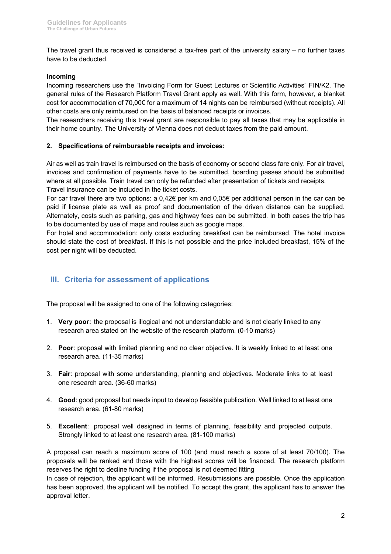The travel grant thus received is considered a tax-free part of the university salary – no further taxes have to be deducted.

## **Incoming**

Incoming researchers use the "Invoicing Form for Guest Lectures or Scientific Activities" FIN/K2. The general rules of the Research Platform Travel Grant apply as well. With this form, however, a blanket cost for accommodation of 70,00€ for a maximum of 14 nights can be reimbursed (without receipts). All other costs are only reimbursed on the basis of balanced receipts or invoices.

The researchers receiving this travel grant are responsible to pay all taxes that may be applicable in their home country. The University of Vienna does not deduct taxes from the paid amount.

#### **2. Specifications of reimbursable receipts and invoices:**

Air as well as train travel is reimbursed on the basis of economy or second class fare only. For air travel, invoices and confirmation of payments have to be submitted, boarding passes should be submitted where at all possible. Train travel can only be refunded after presentation of tickets and receipts. Travel insurance can be included in the ticket costs.

For car travel there are two options: a 0,42€ per km and 0,05€ per additional person in the car can be paid if license plate as well as proof and documentation of the driven distance can be supplied. Alternately, costs such as parking, gas and highway fees can be submitted. In both cases the trip has to be documented by use of maps and routes such as google maps.

For hotel and accommodation: only costs excluding breakfast can be reimbursed. The hotel invoice should state the cost of breakfast. If this is not possible and the price included breakfast, 15% of the cost per night will be deducted.

# **III. Criteria for assessment of applications**

The proposal will be assigned to one of the following categories:

- 1. **Very poor:** the proposal is illogical and not understandable and is not clearly linked to any research area stated on the website of the research platform. (0-10 marks)
- 2. **Poor**: proposal with limited planning and no clear objective. It is weakly linked to at least one research area. (11-35 marks)
- 3. **Fair**: proposal with some understanding, planning and objectives. Moderate links to at least one research area. (36-60 marks)
- 4. **Good**: good proposal but needs input to develop feasible publication. Well linked to at least one research area. (61-80 marks)
- 5. **Excellent**: proposal well designed in terms of planning, feasibility and projected outputs. Strongly linked to at least one research area. (81-100 marks)

A proposal can reach a maximum score of 100 (and must reach a score of at least 70/100). The proposals will be ranked and those with the highest scores will be financed. The research platform reserves the right to decline funding if the proposal is not deemed fitting

In case of rejection, the applicant will be informed. Resubmissions are possible. Once the application has been approved, the applicant will be notified. To accept the grant, the applicant has to answer the approval letter.